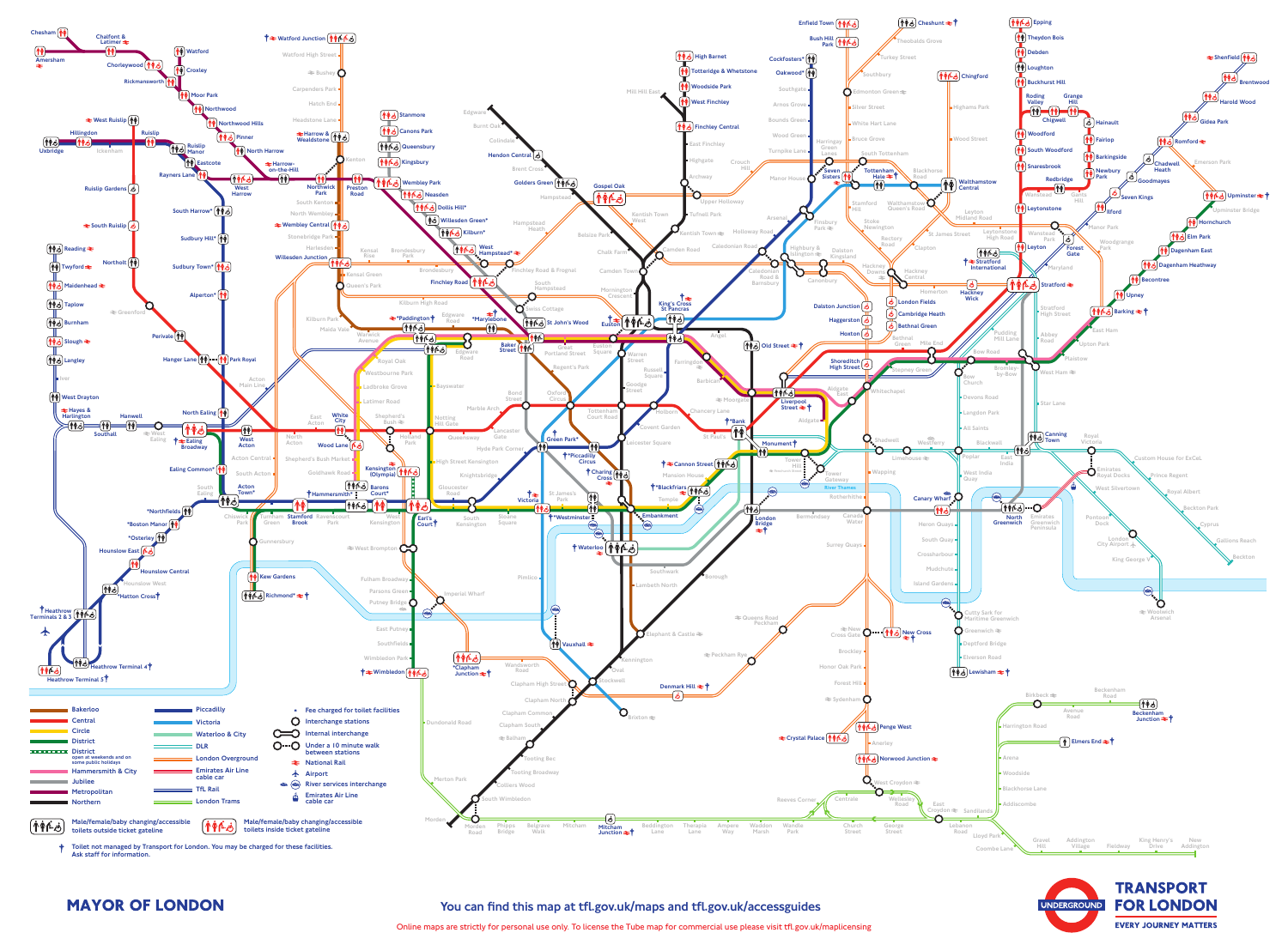

Online maps are strictly for personal use only. To license the Tube map for commercial use please visit tfl.gov.uk/maplicensing